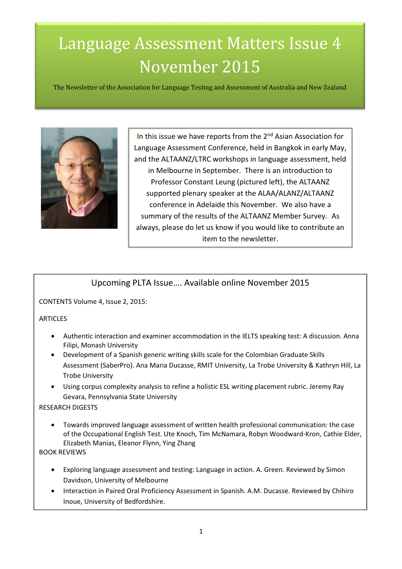# Language Assessment Matters Issue 4 November 2015

The Newsletter of the Association for Language Testing and Assessment of Australia and New Zealand



In this issue we have reports from the  $2<sup>nd</sup>$  Asian Association for Language Assessment Conference, held in Bangkok in early May, and the ALTAANZ/LTRC workshops in language assessment, held in Melbourne in September. There is an introduction to Professor Constant Leung (pictured left), the ALTAANZ supported plenary speaker at the ALAA/ALANZ/ALTAANZ conference in Adelaide this November. We also have a summary of the results of the ALTAANZ Member Survey. As always, please do let us know if you would like to contribute an item to the newsletter.

### Upcoming PLTA Issue…. Available online November 2015

CONTENTS Volume 4, Issue 2, 2015:

#### **ARTICLES**

- Authentic interaction and examiner accommodation in the IELTS speaking test: A discussion. Anna Filipi, Monash University
- Development of a Spanish generic writing skills scale for the Colombian Graduate Skills Assessment (SaberPro). Ana Maria Ducasse, RMIT University, La Trobe University & Kathryn Hill, La Trobe University
- Using corpus complexity analysis to refine a holistic ESL writing placement rubric. Jeremy Ray Gevara, Pennsylvania State University

#### RESEARCH DIGESTS

• Towards improved language assessment of written health professional communication: the case of the Occupational English Test. Ute Knoch, Tim McNamara, Robyn Woodward-Kron, Cathie Elder, Elizabeth Manias, Eleanor Flynn, Ying Zhang

BOOK REVIEWS

- Exploring language assessment and testing: Language in action. A. Green. Reviewed by Simon Davidson, University of Melbourne
- Interaction in Paired Oral Proficiency Assessment in Spanish. A.M. Ducasse. Reviewed by Chihiro Inoue, University of Bedfordshire.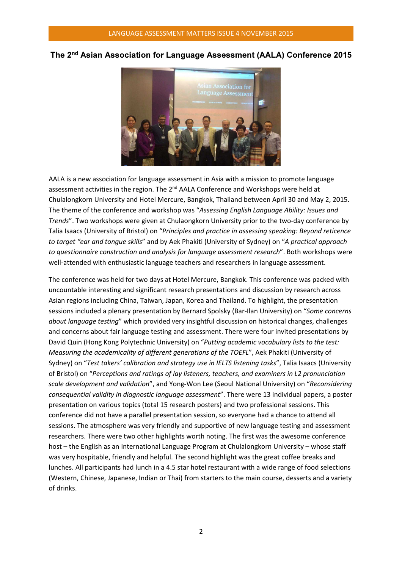#### The 2nd Asian Association for Language Assessment (AALA) Conference 2015



AALA is a new association for language assessment in Asia with a mission to promote language assessment activities in the region. The 2<sup>nd</sup> AALA Conference and Workshops were held at Chulalongkorn University and Hotel Mercure, Bangkok, Thailand between April 30 and May 2, 2015. The theme of the conference and workshop was "Assessing English Language Ability: Issues and Trends". Two workshops were given at Chulaongkorn University prior to the two-day conference by Talia Isaacs (University of Bristol) on "Principles and practice in assessing speaking: Beyond reticence to target "ear and tongue skills" and by Aek Phakiti (University of Sydney) on "A practical approach to questionnaire construction and analysis for language assessment research". Both workshops were well-attended with enthusiastic language teachers and researchers in language assessment.

The conference was held for two days at Hotel Mercure, Bangkok. This conference was packed with uncountable interesting and significant research presentations and discussion by research across Asian regions including China, Taiwan, Japan, Korea and Thailand. To highlight, the presentation sessions included a plenary presentation by Bernard Spolsky (Bar-Ilan University) on "Some concerns about language testing" which provided very insightful discussion on historical changes, challenges and concerns about fair language testing and assessment. There were four invited presentations by David Quin (Hong Kong Polytechnic University) on "Putting academic vocabulary lists to the test: Measuring the academicality of different generations of the TOEFL", Aek Phakiti (University of Sydney) on "Test takers' calibration and strategy use in IELTS listening tasks", Talia Isaacs (University of Bristol) on "Perceptions and ratings of lay listeners, teachers, and examiners in L2 pronunciation scale development and validation", and Yong-Won Lee (Seoul National University) on "Reconsidering consequential validity in diagnostic language assessment". There were 13 individual papers, a poster presentation on various topics (total 15 research posters) and two professional sessions. This conference did not have a parallel presentation session, so everyone had a chance to attend all sessions. The atmosphere was very friendly and supportive of new language testing and assessment researchers. There were two other highlights worth noting. The first was the awesome conference host – the English as an International Language Program at Chulalongkorn University – whose staff was very hospitable, friendly and helpful. The second highlight was the great coffee breaks and lunches. All participants had lunch in a 4.5 star hotel restaurant with a wide range of food selections (Western, Chinese, Japanese, Indian or Thai) from starters to the main course, desserts and a variety of drinks.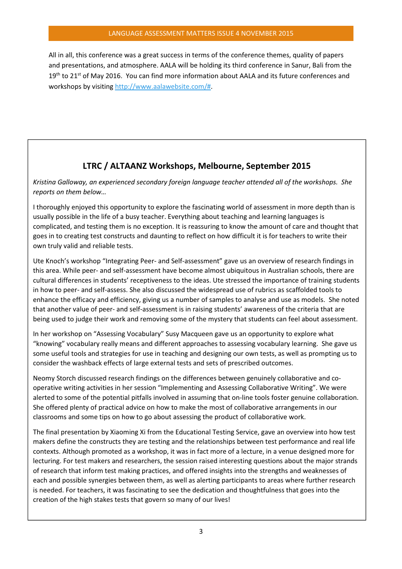All in all, this conference was a great success in terms of the conference themes, quality of papers and presentations, and atmosphere. AALA will be holding its third conference in Sanur, Bali from the  $19<sup>th</sup>$  to 21<sup>st</sup> of May 2016. You can find more information about AALA and its future conferences and workshops by visiting http://www.aalawebsite.com/#.

# LTRC / ALTAANZ Workshops, Melbourne, September 2015

Kristina Galloway, an experienced secondary foreign language teacher attended all of the workshops. She reports on them below…

I thoroughly enjoyed this opportunity to explore the fascinating world of assessment in more depth than is usually possible in the life of a busy teacher. Everything about teaching and learning languages is complicated, and testing them is no exception. It is reassuring to know the amount of care and thought that goes in to creating test constructs and daunting to reflect on how difficult it is for teachers to write their own truly valid and reliable tests.

Ute Knoch's workshop "Integrating Peer- and Self-assessment" gave us an overview of research findings in this area. While peer- and self-assessment have become almost ubiquitous in Australian schools, there are cultural differences in students' receptiveness to the ideas. Ute stressed the importance of training students in how to peer- and self-assess. She also discussed the widespread use of rubrics as scaffolded tools to enhance the efficacy and efficiency, giving us a number of samples to analyse and use as models. She noted that another value of peer- and self-assessment is in raising students' awareness of the criteria that are being used to judge their work and removing some of the mystery that students can feel about assessment.

In her workshop on "Assessing Vocabulary" Susy Macqueen gave us an opportunity to explore what "knowing" vocabulary really means and different approaches to assessing vocabulary learning. She gave us some useful tools and strategies for use in teaching and designing our own tests, as well as prompting us to consider the washback effects of large external tests and sets of prescribed outcomes.

Neomy Storch discussed research findings on the differences between genuinely collaborative and cooperative writing activities in her session "Implementing and Assessing Collaborative Writing". We were alerted to some of the potential pitfalls involved in assuming that on-line tools foster genuine collaboration. She offered plenty of practical advice on how to make the most of collaborative arrangements in our classrooms and some tips on how to go about assessing the product of collaborative work.

The final presentation by Xiaoming Xi from the Educational Testing Service, gave an overview into how test makers define the constructs they are testing and the relationships between test performance and real life contexts. Although promoted as a workshop, it was in fact more of a lecture, in a venue designed more for lecturing. For test makers and researchers, the session raised interesting questions about the major strands of research that inform test making practices, and offered insights into the strengths and weaknesses of each and possible synergies between them, as well as alerting participants to areas where further research is needed. For teachers, it was fascinating to see the dedication and thoughtfulness that goes into the creation of the high stakes tests that govern so many of our lives!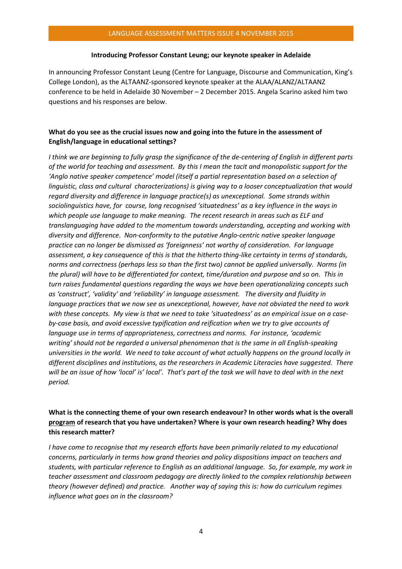#### LANGUAGE ASSESSMENT MATTERS ISSUE 4 NOVEMBER 2015

#### Introducing Professor Constant Leung; our keynote speaker in Adelaide

In announcing Professor Constant Leung (Centre for Language, Discourse and Communication, King's College London), as the ALTAANZ-sponsored keynote speaker at the ALAA/ALANZ/ALTAANZ conference to be held in Adelaide 30 November – 2 December 2015. Angela Scarino asked him two questions and his responses are below.

#### What do you see as the crucial issues now and going into the future in the assessment of English/language in educational settings?

I think we are beginning to fully grasp the significance of the de-centering of English in different parts of the world for teaching and assessment. By this I mean the tacit and monopolistic support for the 'Anglo native speaker competence' model (itself a partial representation based on a selection of linguistic, class and cultural characterizations) is giving way to a looser conceptualization that would regard diversity and difference in language practice(s) as unexceptional. Some strands within sociolinguistics have, for course, long recognised 'situatedness' as a key influence in the ways in which people use language to make meaning. The recent research in areas such as ELF and translanguaging have added to the momentum towards understanding, accepting and working with diversity and difference. Non-conformity to the putative Anglo-centric native speaker language practice can no longer be dismissed as 'foreignness' not worthy of consideration. For language assessment, a key consequence of this is that the hitherto thing-like certainty in terms of standards, norms and correctness (perhaps less so than the first two) cannot be applied universally. Norms (in the plural) will have to be differentiated for context, time/duration and purpose and so on. This in turn raises fundamental questions regarding the ways we have been operationalizing concepts such as 'construct', 'validity' and 'reliability' in language assessment. The diversity and fluidity in language practices that we now see as unexceptional, however, have not obviated the need to work with these concepts. My view is that we need to take 'situatedness' as an empirical issue on a caseby-case basis, and avoid excessive typification and reification when we try to give accounts of language use in terms of appropriateness, correctness and norms. For instance, 'academic writing' should not be regarded a universal phenomenon that is the same in all English-speaking universities in the world. We need to take account of what actually happens on the ground locally in different disciplines and institutions, as the researchers in Academic Literacies have suggested. There will be an issue of how 'local' is' local'. That's part of the task we will have to deal with in the next period.

#### What is the connecting theme of your own research endeavour? In other words what is the overall program of research that you have undertaken? Where is your own research heading? Why does this research matter?

I have come to recognise that my research efforts have been primarily related to my educational concerns, particularly in terms how grand theories and policy dispositions impact on teachers and students, with particular reference to English as an additional language. So, for example, my work in teacher assessment and classroom pedagogy are directly linked to the complex relationship between theory (however defined) and practice. Another way of saying this is: how do curriculum regimes influence what goes on in the classroom?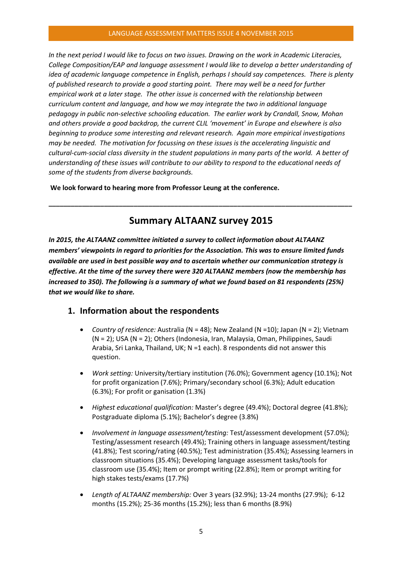#### LANGUAGE ASSESSMENT MATTERS ISSUE 4 NOVEMBER 2015

In the next period I would like to focus on two issues. Drawing on the work in Academic Literacies, College Composition/EAP and language assessment I would like to develop a better understanding of idea of academic language competence in English, perhaps I should say competences. There is plenty of published research to provide a good starting point. There may well be a need for further empirical work at a later stage. The other issue is concerned with the relationship between curriculum content and language, and how we may integrate the two in additional language pedagogy in public non-selective schooling education. The earlier work by Crandall, Snow, Mohan and others provide a good backdrop, the current CLIL 'movement' in Europe and elsewhere is also beginning to produce some interesting and relevant research. Again more empirical investigations may be needed. The motivation for focussing on these issues is the accelerating linguistic and cultural-cum-social class diversity in the student populations in many parts of the world. A better of understanding of these issues will contribute to our ability to respond to the educational needs of some of the students from diverse backgrounds.

We look forward to hearing more from Professor Leung at the conference.

# Summary ALTAANZ survey 2015

\_\_\_\_\_\_\_\_\_\_\_\_\_\_\_\_\_\_\_\_\_\_\_\_\_\_\_\_\_\_\_\_\_\_\_\_\_\_\_\_\_\_\_\_\_\_\_\_\_\_\_\_\_\_\_\_\_\_\_\_\_\_\_\_\_\_\_\_\_\_\_\_\_\_\_\_\_\_\_\_\_\_

In 2015, the ALTAANZ committee initiated a survey to collect information about ALTAANZ members' viewpoints in regard to priorities for the Association. This was to ensure limited funds available are used in best possible way and to ascertain whether our communication strategy is effective. At the time of the survey there were 320 ALTAANZ members (now the membership has increased to 350). The following is a summary of what we found based on 81 respondents (25%) that we would like to share.

#### 1. Information about the respondents

- Country of residence: Australia ( $N = 48$ ); New Zealand ( $N = 10$ ); Japan ( $N = 2$ ); Vietnam (N = 2); USA (N = 2); Others (Indonesia, Iran, Malaysia, Oman, Philippines, Saudi Arabia, Sri Lanka, Thailand, UK; N =1 each). 8 respondents did not answer this question.
- Work setting: University/tertiary institution (76.0%); Government agency (10.1%); Not for profit organization (7.6%); Primary/secondary school (6.3%); Adult education (6.3%); For profit or ganisation (1.3%)
- Highest educational qualification: Master's degree (49.4%); Doctoral degree (41.8%); Postgraduate diploma (5.1%); Bachelor's degree (3.8%)
- Involvement in language assessment/testing: Test/assessment development (57.0%); Testing/assessment research (49.4%); Training others in language assessment/testing (41.8%); Test scoring/rating (40.5%); Test administration (35.4%); Assessing learners in classroom situations (35.4%); Developing language assessment tasks/tools for classroom use (35.4%); Item or prompt writing (22.8%); Item or prompt writing for high stakes tests/exams (17.7%)
- Length of ALTAANZ membership: Over 3 years (32.9%); 13-24 months (27.9%); 6-12 months (15.2%); 25-36 months (15.2%); less than 6 months (8.9%)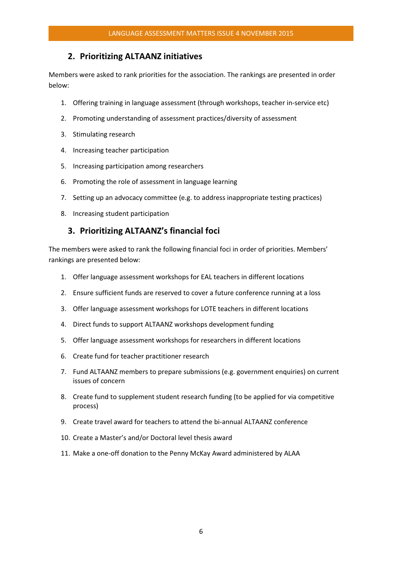#### 2. Prioritizing ALTAANZ initiatives

Members were asked to rank priorities for the association. The rankings are presented in order below:

- 1. Offering training in language assessment (through workshops, teacher in-service etc)
- 2. Promoting understanding of assessment practices/diversity of assessment
- 3. Stimulating research
- 4. Increasing teacher participation
- 5. Increasing participation among researchers
- 6. Promoting the role of assessment in language learning
- 7. Setting up an advocacy committee (e.g. to address inappropriate testing practices)
- 8. Increasing student participation

#### 3. Prioritizing ALTAANZ's financial foci

The members were asked to rank the following financial foci in order of priorities. Members' rankings are presented below:

- 1. Offer language assessment workshops for EAL teachers in different locations
- 2. Ensure sufficient funds are reserved to cover a future conference running at a loss
- 3. Offer language assessment workshops for LOTE teachers in different locations
- 4. Direct funds to support ALTAANZ workshops development funding
- 5. Offer language assessment workshops for researchers in different locations
- 6. Create fund for teacher practitioner research
- 7. Fund ALTAANZ members to prepare submissions (e.g. government enquiries) on current issues of concern
- 8. Create fund to supplement student research funding (to be applied for via competitive process)
- 9. Create travel award for teachers to attend the bi-annual ALTAANZ conference
- 10. Create a Master's and/or Doctoral level thesis award
- 11. Make a one-off donation to the Penny McKay Award administered by ALAA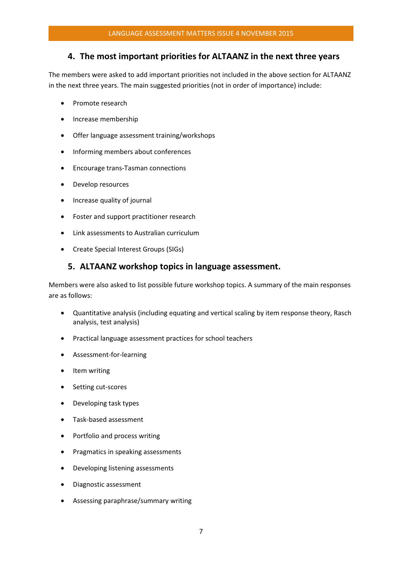#### 4. The most important priorities for ALTAANZ in the next three years

The members were asked to add important priorities not included in the above section for ALTAANZ in the next three years. The main suggested priorities (not in order of importance) include:

- Promote research
- Increase membership
- Offer language assessment training/workshops
- Informing members about conferences
- Encourage trans-Tasman connections
- Develop resources
- Increase quality of journal
- Foster and support practitioner research
- Link assessments to Australian curriculum
- Create Special Interest Groups (SIGs)

#### 5. ALTAANZ workshop topics in language assessment.

Members were also asked to list possible future workshop topics. A summary of the main responses are as follows:

- Quantitative analysis (including equating and vertical scaling by item response theory, Rasch analysis, test analysis)
- Practical language assessment practices for school teachers
- Assessment-for-learning
- Item writing
- Setting cut-scores
- Developing task types
- Task-based assessment
- Portfolio and process writing
- Pragmatics in speaking assessments
- Developing listening assessments
- Diagnostic assessment
- Assessing paraphrase/summary writing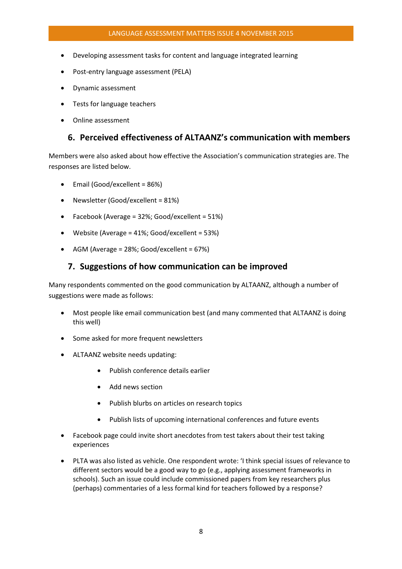- Developing assessment tasks for content and language integrated learning
- Post-entry language assessment (PELA)
- Dynamic assessment
- Tests for language teachers
- Online assessment

#### 6. Perceived effectiveness of ALTAANZ's communication with members

Members were also asked about how effective the Association's communication strategies are. The responses are listed below.

- Email (Good/excellent = 86%)
- Newsletter (Good/excellent = 81%)
- Facebook (Average = 32%; Good/excellent = 51%)
- Website (Average = 41%; Good/excellent = 53%)
- AGM (Average = 28%; Good/excellent =  $67\%$ )

#### 7. Suggestions of how communication can be improved

Many respondents commented on the good communication by ALTAANZ, although a number of suggestions were made as follows:

- Most people like email communication best (and many commented that ALTAANZ is doing this well)
- Some asked for more frequent newsletters
- ALTAANZ website needs updating:
	- Publish conference details earlier
	- Add news section
	- Publish blurbs on articles on research topics
	- Publish lists of upcoming international conferences and future events
- Facebook page could invite short anecdotes from test takers about their test taking experiences
- PLTA was also listed as vehicle. One respondent wrote: 'I think special issues of relevance to different sectors would be a good way to go (e.g., applying assessment frameworks in schools). Such an issue could include commissioned papers from key researchers plus (perhaps) commentaries of a less formal kind for teachers followed by a response?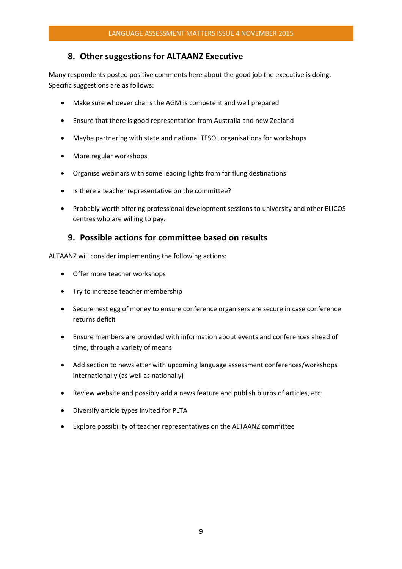#### 8. Other suggestions for ALTAANZ Executive

Many respondents posted positive comments here about the good job the executive is doing. Specific suggestions are as follows:

- Make sure whoever chairs the AGM is competent and well prepared
- Ensure that there is good representation from Australia and new Zealand
- Maybe partnering with state and national TESOL organisations for workshops
- More regular workshops
- Organise webinars with some leading lights from far flung destinations
- Is there a teacher representative on the committee?
- Probably worth offering professional development sessions to university and other ELICOS centres who are willing to pay.

#### 9. Possible actions for committee based on results

ALTAANZ will consider implementing the following actions:

- Offer more teacher workshops
- Try to increase teacher membership
- Secure nest egg of money to ensure conference organisers are secure in case conference returns deficit
- Ensure members are provided with information about events and conferences ahead of time, through a variety of means
- Add section to newsletter with upcoming language assessment conferences/workshops internationally (as well as nationally)
- Review website and possibly add a news feature and publish blurbs of articles, etc.
- Diversify article types invited for PLTA
- Explore possibility of teacher representatives on the ALTAANZ committee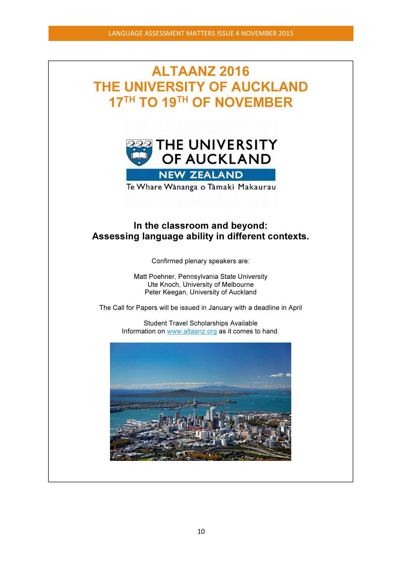# ALTAANZ 2016 THE UNIVERSITY OF AUCKLAND 17<sup>TH</sup> TO 19<sup>TH</sup> OF NOVEMBER



Te Whare Wānanga o Tāmaki Makaurau

# In the classroom and beyond: Assessing language ability in different contexts.

Confirmed plenary speakers are:

Matt Poehner, Pennsylvania State University Ute Knoch, University of Melbourne Peter Keegan, University of Auckland

The Call for Papers will be issued in January with a deadline in April

Student Travel Scholarships Available Information on www.altaanz.org as it comes to hand.